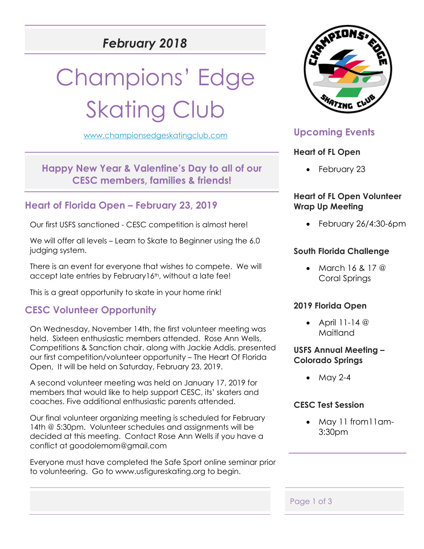## *February 2018*

# Champions' Edge **Skating Club**

[www.championsedgeskatingclub.com](http://www.championsedgeskatingclub.com/)

**Happy New Year & Valentine's Day to all of our CESC members, families & friends!**

## **Heart of Florida Open – February 23, 2019**

Our first USFS sanctioned - CESC competition is almost here!

We will offer all levels – Learn to Skate to Beginner using the 6.0 judging system.

There is an event for everyone that wishes to compete. We will accept late entries by February16<sup>th</sup>, without a late fee!

This is a great opportunity to skate in your home rink!

## **CESC Volunteer Opportunity**

On Wednesday, November 14th, the first volunteer meeting was held. Sixteen enthusiastic members attended. Rose Ann Wells, Competitions & Sanction chair, along with Jackie Addis, presented our first competition/volunteer opportunity – The Heart Of Florida Open, It will be held on Saturday, February 23, 2019.

A second volunteer meeting was held on January 17, 2019 for members that would like to help support CESC, its' skaters and coaches. Five additional enthusiastic parents attended.

Our final volunteer organizing meeting is scheduled for February 14th @ 5:30pm. Volunteer schedules and assignments will be decided at this meeting. Contact Rose Ann Wells if you have a conflict at [goodolemom@gmail.com](mailto:goodolemom@gmail.com) 

Everyone must have completed the Safe Sport online seminar prior to volunteering. Go to [www.usfigureskating.org](http://www.usfigureskating.org/) to begin.



## **Upcoming Events**

#### **Heart of FL Open**

• February 23

#### **Heart of FL Open Volunteer Wrap Up Meeting**

• February 26/4:30-6pm

#### **South Florida Challenge**

• March  $16, 8, 17, \textcircled{a}$ Coral Springs

#### **2019 Florida Open**

• April 11-14 @ Maitland

#### **USFS Annual Meeting – Colorado Springs**

• May 2-4

#### **CESC Test Session**

• May 11 from11am-3:30pm

Page 1 of 3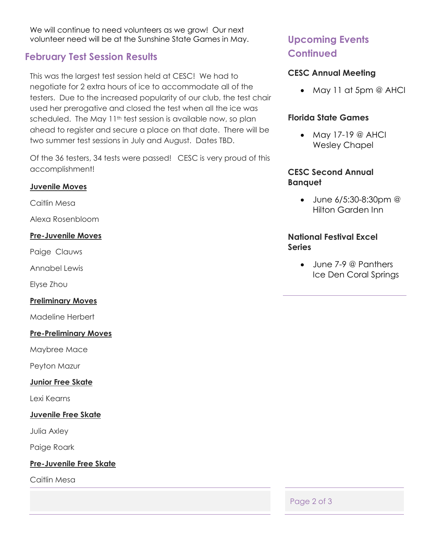We will continue to need volunteers as we grow! Our next volunteer need will be at the Sunshine State Games in May.

## **February Test Session Results**

This was the largest test session held at CESC! We had to negotiate for 2 extra hours of ice to accommodate all of the testers. Due to the increased popularity of our club, the test chair used her prerogative and closed the test when all the ice was scheduled. The May 11<sup>th</sup> test session is available now, so plan ahead to register and secure a place on that date. There will be two summer test sessions in July and August. Dates TBD.

Of the 36 testers, 34 tests were passed! CESC is very proud of this accomplishment!

#### **Juvenile Moves**

Caitlin Mesa

Alexa Rosenbloom

#### **Pre-Juvenile Moves**

Paige Clauws

Annabel Lewis

Elyse Zhou

#### **Preliminary Moves**

Madeline Herbert

#### **Pre-Preliminary Moves**

Maybree Mace

Peyton Mazur

#### **Junior Free Skate**

Lexi Kearns

#### **Juvenile Free Skate**

Julia Axley

Paige Roark

#### **Pre-Juvenile Free Skate**

Caitlin Mesa

## **Upcoming Events Continued**

#### **CESC Annual Meeting**

• May 11 at 5pm @ AHCI

#### **Florida State Games**

• May 17-19 @ AHCI Wesley Chapel

#### **CESC Second Annual Banquet**

• June 6/5:30-8:30pm @ Hilton Garden Inn

#### **National Festival Excel Series**

• June 7-9 @ Panthers Ice Den Coral Springs

Page 2 of 3